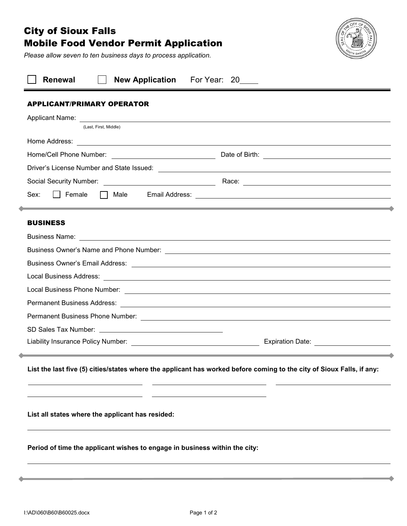# City of Sioux Falls Mobile Food Vendor Permit Application

*Please allow seven to ten business days to process application.*



| <b>Renewal</b><br><b>New Application</b><br>For Year: 20_____                                                                              |  |  |  |  |  |
|--------------------------------------------------------------------------------------------------------------------------------------------|--|--|--|--|--|
| <b>APPLICANT/PRIMARY OPERATOR</b>                                                                                                          |  |  |  |  |  |
|                                                                                                                                            |  |  |  |  |  |
| (Last, First, Middle)                                                                                                                      |  |  |  |  |  |
|                                                                                                                                            |  |  |  |  |  |
|                                                                                                                                            |  |  |  |  |  |
|                                                                                                                                            |  |  |  |  |  |
|                                                                                                                                            |  |  |  |  |  |
| Sex:<br>    Female<br><u> 1989 - Andrea Santa Andrea Andrea Andrea Andrea Andrea Andrea Andrea Andrea Andrea Andrea Andrea Andrea Andr</u> |  |  |  |  |  |
| <b>BUSINESS</b>                                                                                                                            |  |  |  |  |  |
|                                                                                                                                            |  |  |  |  |  |
| Business Owner's Name and Phone Number: 2008 2009 2012 2023 2024 2024 2022 2023 2024 2022 2023 2024 2022 2023                              |  |  |  |  |  |
|                                                                                                                                            |  |  |  |  |  |
|                                                                                                                                            |  |  |  |  |  |
|                                                                                                                                            |  |  |  |  |  |
|                                                                                                                                            |  |  |  |  |  |
|                                                                                                                                            |  |  |  |  |  |
|                                                                                                                                            |  |  |  |  |  |
| Expiration Date: _______________________                                                                                                   |  |  |  |  |  |
| List the last five (5) cities/states where the applicant has worked before coming to the city of Sioux Falls, if any:                      |  |  |  |  |  |
|                                                                                                                                            |  |  |  |  |  |
| List all states where the applicant has resided:                                                                                           |  |  |  |  |  |
| Period of time the applicant wishes to engage in business within the city:                                                                 |  |  |  |  |  |